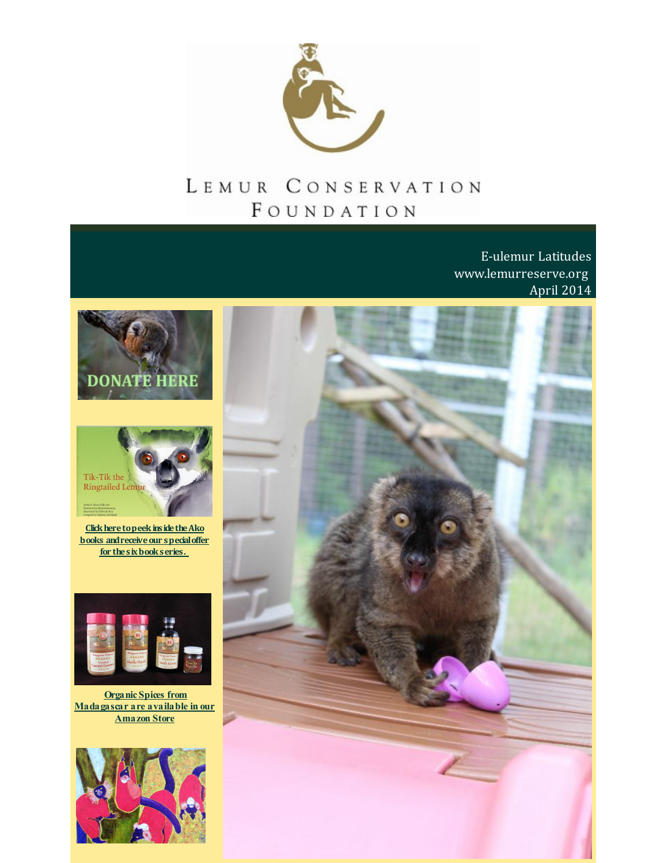

# LEMUR CONSERVATION FOUNDATION

E-ulemur Latitudes www.lemurreserve.org April 2014







Click here to peek inside the Ako books and receive our special offer for the six book series.



**Organic Spices from** Madagascar are available in our **Amazon Store** 

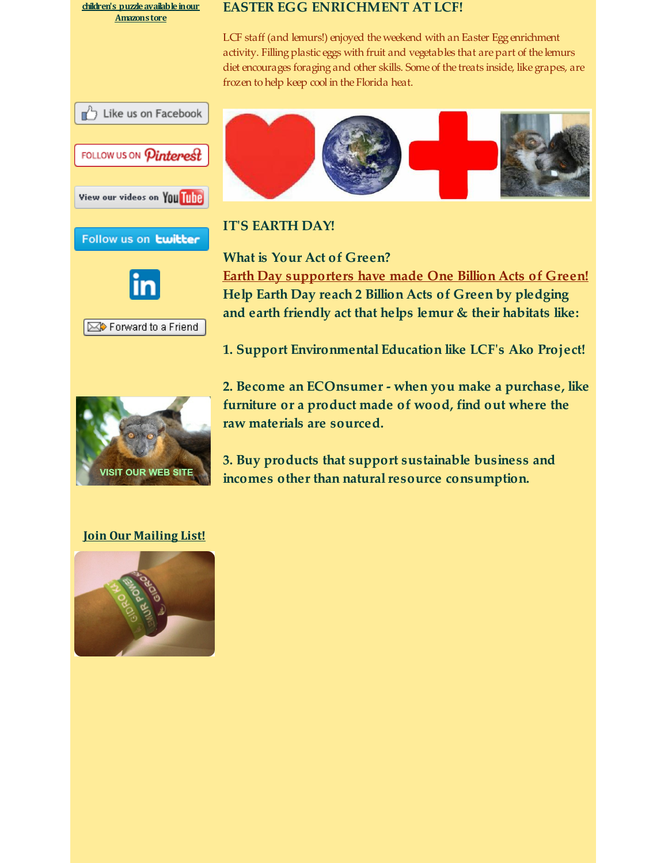**children's [puzzleavailableinour](http://r20.rs6.net/tn.jsp?f=001HlNPKqSbg7D-7yAtM7deBL9qQk7aNNn1DGMuRL2fu287D2AEhnNQ-8e5vgAX7aCidOnYy8YW3R44lmbMit5FIuDU21UDz3aYWa2FiOSNIaC0BKNotl3H7adY1Wfk2-MicvwBcnrmSKv97lK_gnk37h2c1xH1T8fbmgNDMd-cfM0ZkfKi7W-SxFZdhOEAEOdS&c=&ch=) Amazonstore**

#### **EASTER EGG ENRICHMENT AT LCF!**

LCF staff (and lemurs!) enjoyed the weekend with an Easter Egg enrichment activity. Filling plastic eggs with fruit and vegetables that are part of the lemurs diet encourages foraging and other skills. Some of the treats inside, like grapes, are frozen to help keep cool in the Florida heat.

















### **IT'S EARTH DAY!**

**What is Your Act of Green? Earth Day [supporters](http://r20.rs6.net/tn.jsp?f=001HlNPKqSbg7D-7yAtM7deBL9qQk7aNNn1DGMuRL2fu287D2AEhnNQ-1Az6sQrDxzQYVmr1poWDz3Hfl9jZlj7dkXtoC19ZTKiv18ifVLrUyxVXKzg9vQrRVYGIPMfnv5p9ZMiXPnZcocHEBPdLX92uxDnvZfc7FdXI3M_QevBEOjLwSiFtMrxYHT37u1TArNkacZBCesjyJA=&c=&ch=) have made One Billion Acts of Green! Help Earth Day reach 2 Billion Acts of Green by pledging and earth friendly act that helps lemur & their habitats like:**

**1. Support Environmental Education like LCF's Ako Project!**

**2. Become an ECOnsumer - when you make a purchase, like furniture or a product made of wood, find out where the raw materials are sourced.**

**3. Buy products that support sustainable business and incomes** other than natural resource consumption.

### **Join Our [Mailing](http://visitor.r20.constantcontact.com/email.jsp?m=1110407556333) List!**

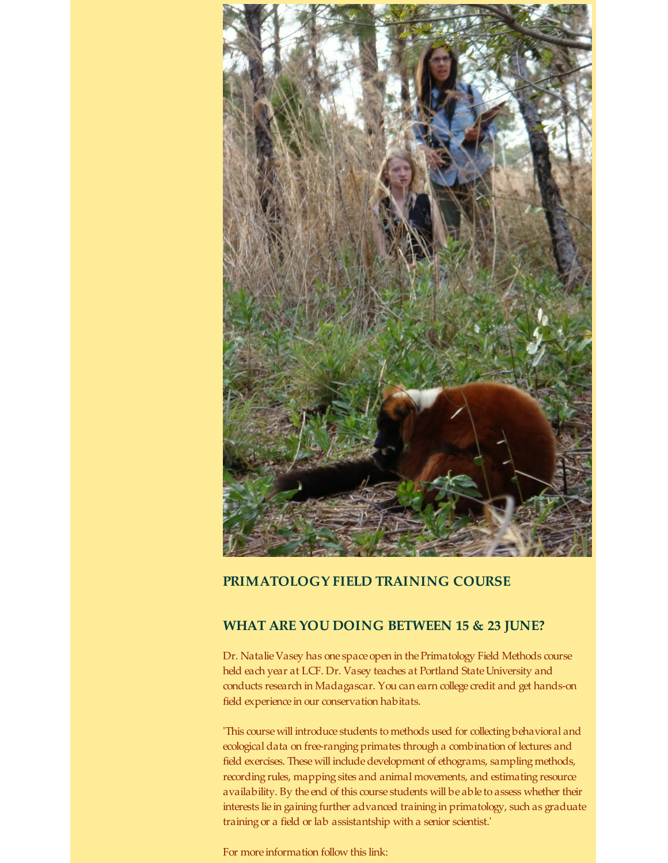

#### **PRIMATOLOGY FIELD TRAINING COURSE**

#### **WHAT ARE YOU DOING BETWEEN 15 & 23 JUNE?**

Dr. Natalie Vasey has one space open in the Primatology Field Methods course held each year at LCF. Dr. Vasey teaches at Portland State University and conducts research in Madagascar. You can earn college credit and get hands-on field experience in our conservation habitats.

'This course will introduce students to methods used for collecting behavioral and ecological data on free-ranging primates through a combination of lectures and field exercises. These will include development of ethograms, sampling methods, recording rules, mapping sites and animal movements, and estimating resource availability. By the end of this course students will be able to assess whether their interests lie in gaining further advanced training in primatology, such as graduate training or a field or lab assistantship with a senior scientist.'

For more information follow this link: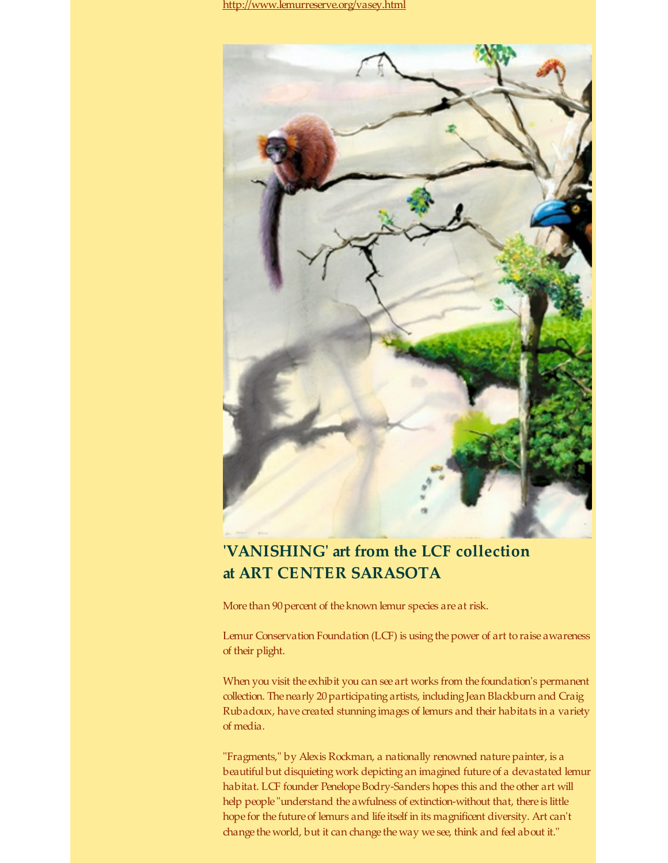[http://www.lemurreserve.org/vasey.html](http://r20.rs6.net/tn.jsp?f=001HlNPKqSbg7D-7yAtM7deBL9qQk7aNNn1DGMuRL2fu287D2AEhnNQ-3p-vypgGX2uKp-7fJ3q-hyaU09G06CKSXhgOxlQYC7dNy959FkXDDjux3tx8-52E-NT4FL3nOoAwuSLlA5WUoKky413ngn3UQvLunMuRNqKigQaRnLETYtRMj1117WaUAWPHTXpz4Oy&c=&ch=)



### **'VANISHING' art from the LCF collection at ART CENTER SARASOTA**

More than 90 percent of the known lemur species are at risk.

Lemur Conservation Foundation (LCF) is using the power of art to raise awareness of their plight.

When you visit the exhibit you can see art works from the foundation's permanent collection. The nearly 20 participating artists, including Jean Blackburn and Craig Rubadoux, have created stunning images of lemurs and their habitats in a variety of media.

"Fragments," by Alexis Rockman, a nationally renowned nature painter, is a beautiful but disquieting work depicting an imagined future of a devastated lemur habitat. LCF founder Penelope Bodry-Sanders hopes this and the other art will help people "understand the awfulness of extinction-without that, there is little hope for the future of lemurs and life itself in its magnificent diversity. Art can't change the world, but it can change the way we see, think and feel about it."